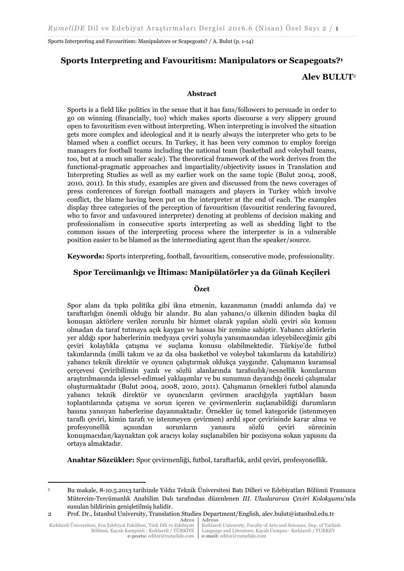# **Sports Interpreting and Favouritism: Manipulators or Scapegoats?<sup>1</sup>**

# **Alev BULUT**<sup>2</sup>

## **Abstract**

Sports is a field like politics in the sense that it has fans/followers to persuade in order to go on winning (financially, too) which makes sports discourse a very slippery ground open to favouritism even without interpreting. When interpreting is involved the situation gets more complex and ideological and it is nearly always the interpreter who gets to be blamed when a conflict occurs. In Turkey, it has been very common to employ foreign managers for football teams including the national team (basketball and voleyball teams, too, but at a much smaller scale). The theoretical framework of the work derives from the functional-pragmatic approaches and impartiality/objectivity issues in Translation and Interpreting Studies as well as my earlier work on the same topic (Bulut 2004, 2008, 2010, 2011). In this study, examples are given and discussed from the news coverages of press conferences of foreign football managers and players in Turkey which involve conflict, the blame having been put on the interpreter at the end of each. The examples display three categories of the perception of favouritism (favouritist rendering favoured, who to favor and unfavoured interpreter) denoting at problems of decision making and professionalism in consecutive sports interpreting as well as shedding light to the common issues of the interpreting process where the interpreter is in a vulnerable position easier to be blamed as the intermediating agent than the speaker/source.

**Keywords:** Sports interpreting, football, favouritism, consecutive mode, professionality.

# **Spor Tercümanlığı ve İltimas: Manipülatörler ya da Günah Keçileri**

#### **Özet**

Spor alanı da tıpkı politika gibi ikna etmenin, kazanmanın (maddi anlamda da) ve taraftarlığın önemli olduğu bir alandır. Bu alan yabancı/o ülkenin dilinden başka dil konuşan aktörlere verilen zorunlu bir hizmet olarak yapılan sözlü çeviri söz konusu olmadan da taraf tutmaya açık kaygan ve hassas bir zemine sahiptir. Yabancı aktörlerin yer aldığı spor haberlerinin medyaya çeviri yoluyla yansımasından izleyebileceğimiz gibi çeviri kolaylıkla çatışma ve suçlama konusu olabilmektedir. Türkiye'de futbol takımlarında (milli takım ve az da olsa basketbol ve voleybol takımlarını da katabiliriz) yabancı teknik direktör ve oyuncu çalıştırmak oldukça yaygındır. Çalışmanın kuramsal çerçevesi Çeviribilimin yazılı ve sözlü alanlarında tarafsızlık/nesnellik konularının araştırılmasında işlevsel-edimsel yaklaşımlar ve bu sunumun dayandığı önceki çalışmalar oluşturmaktadır (Bulut 2004, 2008, 2010, 2011). Çalışmanın örnekleri futbol alanında yabancı teknik direktör ve oyuncuların çevirmen aracılığıyla yaptıkları basın toplantılarında çatışma ve sorun içeren ve çevirmenlerin suçlanabildiği durumların basına yansıyan haberlerine dayanmaktadır. Örnekler üç temel kategoride (istenmeyen taraflı çeviri, kimin tarafı ve istenmeyen çevirmen) ardıl spor çevirisinde karar alma ve profesyonellik açısından sorunların yanısıra sözlü çeviri sürecinin konuşmacıdan/kaynaktan çok aracıyı kolay suçlanabilen bir pozisyona sokan yapısını da ortaya almaktadır.

**Anahtar Sözcükler:** Spor çevirmenliği, futbol, taraftarlık, ardıl çeviri, profesyonellik.

Kırklareli Üniversitesi, Fen Edebiyat Fakültesi, Türk Dili ve Edebiyatı Bölümü, Kayalı Kampüsü - Kırklareli / TÜRKİYE **e-posta:** editor@rumelide.com

**.** 

Kırklareli University, Faculty of Arts and Sciences, Dep. of Turkish Language and Literature, Kayalı Campus - Kırklareli / TURKEY **e-mail:** editor@rumelide.com

<sup>1</sup> Bu makale, 8-10.5.2013 tarihinde Yıldız Teknik Üniversitesi Batı Dilleri ve Edebiyatları Bölümü Fransızca Mütercim-Tercümanlık Anabilim Dalı tarafından düzenlenen *III. Uluslararası Çeviri Kolokyumu*'nda sunulan bildirinin genişletilmiş halidir.

**Adres Adress** 2 Prof. Dr., İstanbul University, Translation Studies Department/English, alev.bulut@istanbul.edu.tr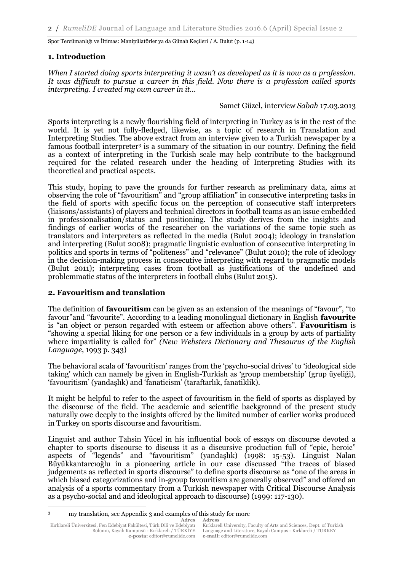## **1. Introduction**

*When I started doing sports interpreting it wasn't as developed as it is now as a profession. It was difficult to pursue a career in this field. Now there is a profession called sports interpreting. I created my own career in it…* 

#### Samet Güzel, interview *Sabah* 17.03.2013

Sports interpreting is a newly flourishing field of interpreting in Turkey as is in the rest of the world. It is yet not fully-fledged, likewise, as a topic of research in Translation and Interpreting Studies. The above extract from an interview given to a Turkish newspaper by a famous football interpreter<sup>3</sup> is a summary of the situation in our country. Defining the field as a context of interpreting in the Turkish scale may help contribute to the background required for the related research under the heading of Interpreting Studies with its theoretical and practical aspects.

This study, hoping to pave the grounds for further research as preliminary data, aims at observing the role of "favouritism" and "group affiliation" in consecutive interpreting tasks in the field of sports with specific focus on the perception of consecutive staff interpreters (liaisons/assistants) of players and technical directors in football teams as an issue embedded in professionalisation/status and positioning. The study derives from the insights and findings of earlier works of the researcher on the variations of the same topic such as translators and interpreters as reflected in the media (Bulut 2004); ideology in translation and interpreting (Bulut 2008); pragmatic linguistic evaluation of consecutive interpreting in politics and sports in terms of "politeness" and "relevance" (Bulut 2010); the role of ideology in the decision-making process in consecutive interpreting with regard to pragmatic models (Bulut 2011); interpreting cases from football as justifications of the undefined and problemmatic status of the interpreters in football clubs (Bulut 2015).

## **2. Favouritism and translation**

The definition of **favouritism** can be given as an extension of the meanings of "favour", "to favour"and "favourite". According to a leading monolingual dictionary in English **favourite** is "an object or person regarded with esteem or affection above others". **Favouritism** is "showing a special liking for one person or a few individuals in a group by acts of partiality where impartiality is called for" *(New Websters Dictionary and Thesaurus of the English Language*, 1993 p. 343)

The behavioral scala of 'favouritism' ranges from the 'psycho-social drives' to 'ideological side taking' which can namely be given in English-Turkish as 'group membership' (grup üyeliği), 'favouritism' (yandaşlık) and 'fanaticism' (taraftarlık, fanatiklik).

It might be helpful to refer to the aspect of favouritism in the field of sports as displayed by the discourse of the field. The academic and scientific background of the present study naturally owe deeply to the insights offered by the limited number of earlier works produced in Turkey on sports discourse and favouritism.

Linguist and author Tahsin Yücel in his influential book of essays on discourse devoted a chapter to sports discourse to discuss it as a discursive production full of "epic, heroic" aspects of "legends" and "favouritism" (yandaşlık) (1998: 15-53). Linguist Nalan Büyükkantarcıoğlu in a pioneering article in our case discussed "the traces of biased judgements as reflected in sports discourse" to define sports discourse as "one of the areas in which biased categorizations and in-group favouritism are generally observed" and offered an analysis of a sports commentary from a Turkish newspaper with Critical Discourse Analysis as a psycho-social and and ideological approach to discourse) (1999: 117-130).

**.** 

<sup>3</sup> my translation, see Appendix 3 and examples of this study for more

**Adres Adress**

Kırklareli University, Faculty of Arts and Sciences, Dept. of Turkish Language and Literature, Kayalı Campus - Kırklareli / TURKEY **e-mail:** editor@rumelide.com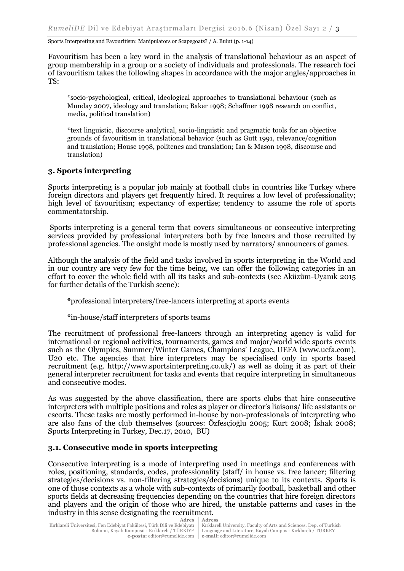Favouritism has been a key word in the analysis of translational behaviour as an aspect of group membership in a group or a society of individuals and professionals. The research foci of favouritism takes the following shapes in accordance with the major angles/approaches in TS:

\*socio-psychological, critical, ideological approaches to translational behaviour (such as Munday 2007, ideology and translation; Baker 1998; Schaffner 1998 research on conflict, media, political translation)

\*text linguistic, discourse analytical, socio-linguistic and pragmatic tools for an objective grounds of favouritism in translational behavior (such as Gutt 1991, relevance/cognition and translation; House 1998, politenes and translation; Ian & Mason 1998, discourse and translation)

# **3. Sports interpreting**

Sports interpreting is a popular job mainly at football clubs in countries like Turkey where foreign directors and players get frequently hired. It requires a low level of professionality; high level of favouritism; expectancy of expertise; tendency to assume the role of sports commentatorship.

Sports interpreting is a general term that covers simultaneous or consecutive interpreting services provided by professional interpreters both by free lancers and those recruited by professional agencies. The onsight mode is mostly used by narrators/ announcers of games.

Although the analysis of the field and tasks involved in sports interpreting in the World and in our country are very few for the time being, we can offer the following categories in an effort to cover the whole field with all its tasks and sub-contexts (see Aküzüm-Uyanık 2015 for further details of the Turkish scene):

\*professional interpreters/free-lancers interpreting at sports events

\*in-house/staff interpreters of sports teams

The recruitment of professional free-lancers through an interpreting agency is valid for international or regional activities, tournaments, games and major/world wide sports events such as the Olympics, Summer/Winter Games, Champions' League, UEFA (www.uefa.com), U20 etc. The agencies that hire interpreters may be specialised only in sports based recruitment (e.g. http://www.sportsinterpreting.co.uk/) as well as doing it as part of their general interpreter recruitment for tasks and events that require interpreting in simultaneous and consecutive modes.

As was suggested by the above classification, there are sports clubs that hire consecutive interpreters with multiple positions and roles as player or director's liaisons/ life assistants or escorts. These tasks are mostly performed in-house by non-professionals of interpreting who are also fans of the club themselves (sources: Özfesçioğlu 2005; Kurt 2008; İshak 2008; Sports Interpreting in Turkey, Dec.17, 2010, BU)

## **3.1. Consecutive mode in sports interpreting**

Consecutive interpreting is a mode of interpreting used in meetings and conferences with roles, positioning, standards, codes, professionality (staff/ in house vs. free lancer; filtering strategies/decisions vs. non-filtering strategies/decisions) unique to its contexts. Sports is one of those contexts as a whole with sub-contexts of primarily football, basketball and other sports fields at decreasing frequencies depending on the countries that hire foreign directors and players and the origin of those who are hired, the unstable patterns and cases in the industry in this sense designating the recruitment.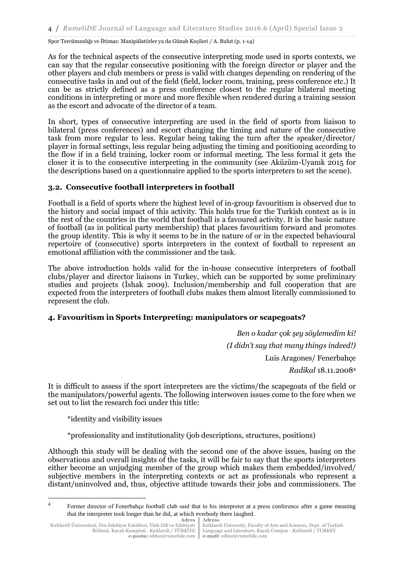As for the technical aspects of the consecutive interpreting mode used in sports contexts, we can say that the regular consecutive positioning with the foreign director or player and the other players and club members or press is valid with changes depending on rendering of the consecutive tasks in and out of the field (field, locker room, training, press conference etc.) It can be as strictly defined as a press conference closest to the regular bilateral meeting conditions in interpreting or more and more flexible when rendered during a training session as the escort and advocate of the director of a team.

In short, types of consecutive interpreting are used in the field of sports from liaison to bilateral (press conferences) and escort changing the timing and nature of the consecutive task from more regular to less. Regular being taking the turn after the speaker/director/ player in formal settings, less regular being adjusting the timing and positioning according to the flow if in a field training, locker room or informal meeting. The less formal it gets the closer it is to the consecutive interpreting in the community (see Aküzüm-Uyanık 2015 for the descriptions based on a questionnaire applied to the sports interpreters to set the scene).

## **3.2. Consecutive football interpreters in football**

Football is a field of sports where the highest level of in-group favouritism is observed due to the history and social impact of this activity. This holds true for the Turkish context as is in the rest of the countries in the world that football is a favoured activity. It is the basic nature of football (as in political party membership) that places favouritism forward and promotes the group identity. This is why it seems to be in the nature of or in the expected behavioural repertoire of (consecutive) sports interpreters in the context of football to represent an emotional affiliation with the commissioner and the task.

The above introduction holds valid for the in-house consecutive interpreters of football clubs/player and director liaisons in Turkey, which can be supported by some preliminary studies and projects (İshak 2009). Inclusion/membership and full cooperation that are expected from the interpreters of football clubs makes them almost literally commissioned to represent the club.

## **4. Favouritism in Sports Interpreting: manipulators or scapegoats?**

*Ben o kadar çok şey söylemedim ki! (I didn't say that many things indeed!)*  Luis Aragones/ Fenerbahçe *Radikal* 18.11.2008<sup>4</sup>

It is difficult to assess if the sport interpreters are the victims/the scapegoats of the field or the manipulators/powerful agents. The following interwoven issues come to the fore when we set out to list the research foci under this title:

\*identity and visibility issues

**.** 

\*professionality and institutionality (job descriptions, structures, positions)

Although this study will be dealing with the second one of the above issues, basing on the observations and overall insights of the tasks, it will be fair to say that the sports interpreters either become an unjudging member of the group which makes them embedded/involved/ subjective members in the interpreting contexts or act as professionals who represent a distant/uninvolved and, thus, objective attitude towards their jobs and commissioners. The

<sup>4</sup> Former director of Fenerbahçe football club said that to his interpreter at a press conference after a game meaning that the interpreter took longer than he did, at which everbody there laughed.

**Adres Adress**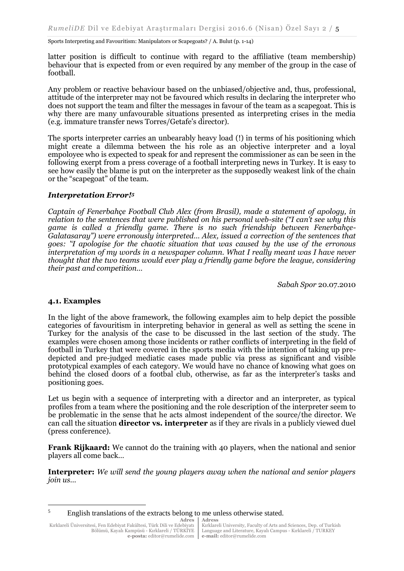latter position is difficult to continue with regard to the affiliative (team membership) behaviour that is expected from or even required by any member of the group in the case of football.

Any problem or reactive behaviour based on the unbiased/objective and, thus, professional, attitude of the interpreter may not be favoured which results in declaring the interpreter who does not support the team and filter the messages in favour of the team as a scapegoat. This is why there are many unfavourable situations presented as interpreting crises in the media (e.g. immature transfer news Torres/Getafe's director).

The sports interpreter carries an unbearably heavy load (!) in terms of his positioning which might create a dilemma between the his role as an objective interpreter and a loyal empoloyee who is expected to speak for and represent the commissioner as can be seen in the following exerpt from a press coverage of a football interpreting news in Turkey. It is easy to see how easily the blame is put on the interpreter as the supposedly weakest link of the chain or the "scapegoat" of the team.

#### *Interpretation Error!<sup>5</sup>*

*Captain of Fenerbahçe Football Club Alex (from Brasil), made a statement of apology, in relation to the sentences that were published on his personal web-site ("I can't see why this game is called a friendly game. There is no such friendship between Fenerbahçe-Galatasaray") were erronously interpreted… Alex, issued a correction of the sentences that goes: ''I apologise for the chaotic situation that was caused by the use of the erronous interpretation of my words in a newspaper column. What I really meant was I have never thought that the two teams would ever play a friendly game before the league, considering their past and competition…* 

*Sabah Spor* 20.07.2010

## **4.1. Examples**

 $\overline{\phantom{a}}$ 

In the light of the above framework, the following examples aim to help depict the possible categories of favouritism in interpreting behavior in general as well as setting the scene in Turkey for the analysis of the case to be discussed in the last section of the study. The examples were chosen among those incidents or rather conflicts of interpreting in the field of football in Turkey that were covered in the sports media with the intention of taking up predepicted and pre-judged mediatic cases made public via press as significant and visible prototypical examples of each category. We would have no chance of knowing what goes on behind the closed doors of a footbal club, otherwise, as far as the interpreter's tasks and positioning goes.

Let us begin with a sequence of interpreting with a director and an interpreter, as typical profiles from a team where the positioning and the role description of the interpreter seem to be problematic in the sense that he acts almost independent of the source/the director. We can call the situation **director vs. interpreter** as if they are rivals in a publicly viewed duel (press conference).

**Frank Rijkaard:** We cannot do the training with 40 players, when the national and senior players all come back…

**Interpreter:** *We will send the young players away when the national and senior players join us…*

<sup>5</sup> English translations of the extracts belong to me unless otherwise stated.

**Adres** Kırklareli Üniversitesi, Fen Edebiyat Fakültesi, Türk Dili ve Edebiyatı Bölümü, Kayalı Kampüsü - Kırklareli / TÜRKİYE **e-posta:** editor@rumelide.com **Adress**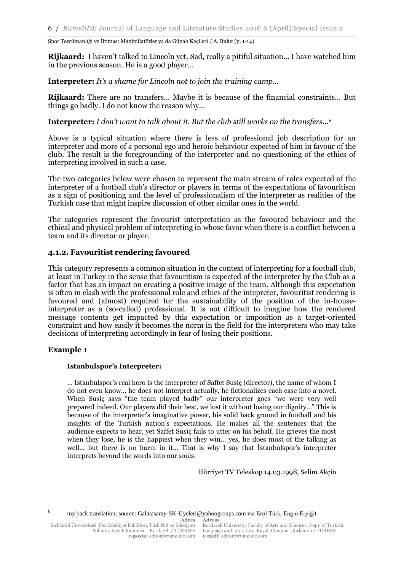**Rijkaard:** I haven't talked to Lincoln yet. Sad, really a pitiful situation… I have watched him in the previous season. He is a good player…

**Interpreter:** *It's a shame for Lincoln not to join the training camp…* 

**Rijkaard:** There are no transfers... Maybe it is because of the financial constraints… But things go badly. I do not know the reason why…

**Interpreter:** *I don't want to talk about it. But the club still works on the transfers…<sup>6</sup>*

Above is a typical situation where there is less of professional job description for an interpreter and more of a personal ego and heroic behaviour expected of him in favour of the club. The result is the foregrounding of the interpreter and no questioning of the ethics of interpreting involved in such a case.

The two categories below were chosen to represent the main stream of roles expected of the interpreter of a football club's director or players in terms of the expectations of favouritism as a sign of positioning and the level of professionalism of the interpreter as realities of the Turkish case that might inspire discussion of other similar ones in the world.

The categories represent the favourist interpretation as the favoured behaviour and the ethical and physical problem of interpreting in whose favor when there is a conflict between a team and its director or player.

## **4.1.2. Favouritist rendering favoured**

This category represents a common situation in the context of interpreting for a football club, at least in Turkey in the sense that favouritism is expected of the interpreter by the Club as a factor that has an impact on creating a positive image of the team. Although this expectation is often in clash with the professional role and ethics of the intepreter, favouritist rendering is favoured and (almost) required for the sustainability of the position of the in-houseinterpreter as a (so-called) professional. It is not difficult to imagine how the rendered message contents get impacted by this expectation or imposition as a target-oriented constraint and how easily it becomes the norm in the field for the interpreters who may take decisions of interpreting accordingly in fear of losing their positions.

## **Example 1**

 $\overline{\phantom{a}}$ 

## **Istanbulspor's Interpreter:**

… Istanbulspor's real hero is the interpreter of Saffet Susiç (director), the name of whom I do not even know… he does not interpret actually, he fictionalizes each case into a novel. When Susiç says "the team played badly" our interpreter goes "we were very well prepared indeed. Our players did their best, we lost it without losing our dignity…" This is because of the interpreter's imaginative power, his solid back ground in football and his insights of the Turkish nation's expectations. He makes all the sentences that the audience expects to hear, yet Saffet Susiç fails to utter on his behalf. He grieves the most when they lose, he is the happiest when they win… yes, he does most of the talking as well… but there is no harm in it… That is why I say that İstanbulspor's interpreter interprets beyond the words into our souls.

Hürriyet TV Teleskop 14.03.1998, Selim Akçin

<sup>6</sup> my back translation; source: Galatasaray-SK-Uyeleri@yahoogroups.com via Erol Türk, Engin Eryiğit

**Adres Adress**

Kırklareli Üniversitesi, Fen Edebiyat Fakültesi, Türk Dili ve Edebiyatı Bölümü, Kayalı Kampüsü - Kırklareli / TÜRKİYE **e-posta:** editor@rumelide.com Kırklareli University, Faculty of Arts and Sciences, Dept. of Turkish Language and Literature, Kayalı Campus - Kırklareli / TURKEY **e-mail:** editor@rumelide.com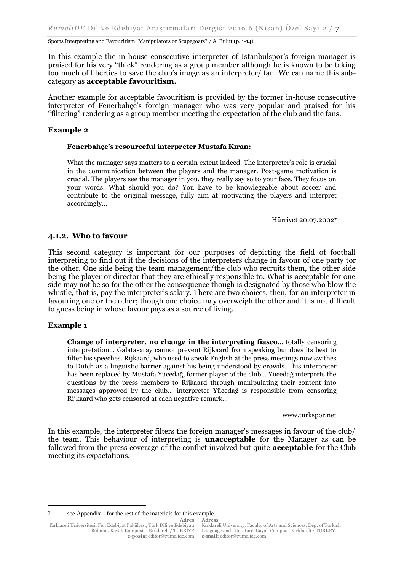In this example the in-house consecutive interpreter of Istanbulspor's foreign manager is praised for his very "thick" rendering as a group member although he is known to be taking too much of liberties to save the club's image as an interpreter/ fan. We can name this subcategory as **acceptable favouritism.**

Another example for acceptable favouritism is provided by the former in-house consecutive interpreter of Fenerbahçe's foreign manager who was very popular and praised for his "filtering" rendering as a group member meeting the expectation of the club and the fans.

## **Example 2**

#### **Fenerbahçe's resourceful interpreter Mustafa Kıran:**

What the manager says matters to a certain extent indeed. The interpreter's role is crucial in the communication between the players and the manager. Post-game motivation is crucial. The players see the manager in you, they really say so to your face. They focus on your words. What should you do? You have to be knowlegeable about soccer and contribute to the original message, fully aim at motivating the players and interpret accordingly…

Hürriyet 20.07.2002<sup>7</sup>

#### **4.1.2. Who to favour**

This second category is important for our purposes of depicting the field of football interpreting to find out if the decisions of the interpreters change in favour of one party tor the other. One side being the team management/the club who recruits them, the other side being the player or director that they are ethically responsible to. What is acceptable for one side may not be so for the other the consequence though is designated by those who blow the whistle, that is, pay the interpreter's salary. There are two choices, then, for an interpreter in favouring one or the other; though one choice may overweigh the other and it is not difficult to guess being in whose favour pays as a source of living.

#### **Example 1**

**.** 

**Change of interpreter, no change in the interpreting fiasco**… totally censoring interpretation… Galatasaray cannot prevent Rijkaard from speaking but does its best to filter his speeches. Rijkaard, who used to speak English at the press meetings now swithes to Dutch as a linguistic barrier against his being understood by crowds… his interpreter has been replaced by Mustafa Yücedağ, former player of the club… Yücedağ interprets the questions by the press members to Rijkaard through manipulating their content into messages approved by the club… interpreter Yücedağ is responsible from censoring Rijkaard who gets censored at each negative remark…

www.turkspor.net

In this example, the interpreter filters the foreign manager's messages in favour of the club/ the team. This behaviour of interpreting is **unacceptable** for the Manager as can be followed from the press coverage of the conflict involved but quite **acceptable** for the Club meeting its expactations.

**Adress** 7 see Appendix 1 for the rest of the materials for this example.

Kırklareli University, Faculty of Arts and Sciences, Dep. of Turkish Language and Literature, Kayalı Campus - Kırklareli / TURKEY **e-mail:** editor@rumelide.com

**Adres** Kırklareli Üniversitesi, Fen Edebiyat Fakültesi, Türk Dili ve Edebiyatı Bölümü, Kayalı Kampüsü - Kırklareli / TÜRKİYE **e-posta:** editor@rumelide.com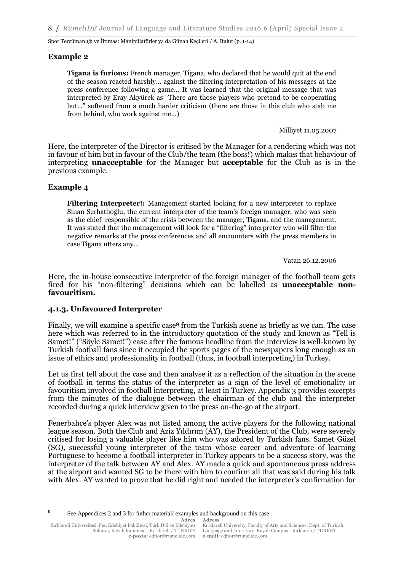## **Example 2**

**Tigana is furious:** French manager, Tigana, who declared that he would quit at the end of the season reacted harshly… against the filtering interpretation of his messages at the press conference following a game… It was learned that the original message that was interpreted by Eray Akyürek as "There are those players who pretend to be cooperating but…" softened from a much harder criticism (there are those in this club who stab me from behind, who work against me…)

Milliyet 11.05.2007

Here, the interpreter of the Director is critised by the Manager for a rendering which was not in favour of him but in favour of the Club/the team (the boss!) which makes that behaviour of interpreting **unacceptable** for the Manager but **acceptable** for the Club as is in the previous example.

# **Example 4**

**Filtering Interpreter!:** Management started looking for a new interpreter to replace Sinan Serhatlıoğlu, the current interpreter of the team's foreign manager, who was seen as the chief responsible of the crisis between the manager, Tigana, and the management. It was stated that the management will look for a "filtering" interpreter who will filter the negative remarks at the press conferences and all encıounters with the press members in case Tigana utters any…

Vatan 26.12.2006

Here, the in-house consecutive interpreter of the foreign manager of the football team gets fired for his "non-filtering" decisions which can be labelled as **unacceptable nonfavouritism.**

## **4.1.3. Unfavoured Interpreter**

Finally, we will examine a specific case**<sup>8</sup>** from the Turkish scene as briefly as we can. The case here which was referred to in the introductory quotation of the study and known as "Tell is Samet!" ("Söyle Samet!") case after the famous headline from the interview is well-known by Turkish football fans since it occupied the sports pages of the newspapers long enough as an issue of ethics and professionality in football (thus, in football interpreting) in Turkey.

Let us first tell about the case and then analyse it as a reflection of the situation in the scene of football in terms the status of the interpreter as a sign of the level of emotionality or favouritism involved in football interpreting, at least in Turkey. Appendix 3 provides excerpts from the minutes of the dialogue between the chairman of the club and the interpreter recorded during a quick interview given to the press on-the-go at the airport.

Fenerbahçe's player Alex was not listed among the active players for the following national league season. Both the Club and Aziz Yıldırım (AY), the President of the Club, were severely critised for losing a valuable player like him who was adored by Turkish fans. Samet Güzel (SG), successful young interpreter of the team whose career and adventure of learning Portuguese to become a football interpreter in Turkey appears to be a success story, was the interpreter of the talk between AY and Alex. AY made a quick and spontaneous press address at the airport and wanted SG to be there with him to confirm all that was said during his talk with Alex. AY wanted to prove that he did right and needed the interpreter's confirmation for

**Adres Adress**

 $\overline{\phantom{a}}$ 

<sup>8</sup> See Appendices 2 and 3 for futher material/ examples and background on this case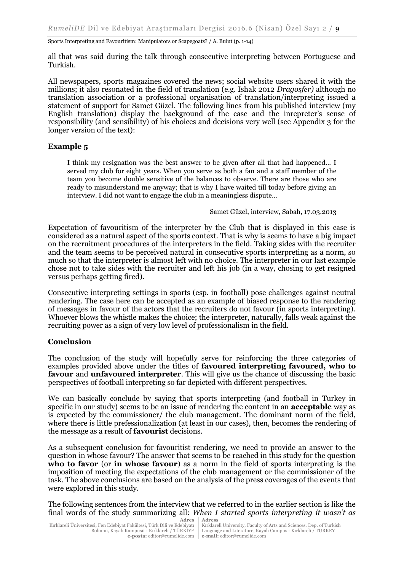all that was said during the talk through consecutive interpreting between Portuguese and Turkish.

All newspapers, sports magazines covered the news; social website users shared it with the millions; it also resonated in the field of translation (e.g. Ishak 2012 *Dragosfer)* although no translation association or a professional organisation of translation/interpreting issued a statement of support for Samet Güzel. The following lines from his published interview (my English translation) display the background of the case and the inrepreter's sense of responsibility (and sensibility) of his choices and decisions very well (see Appendix 3 for the longer version of the text):

## **Example 5**

I think my resignation was the best answer to be given after all that had happened… I served my club for eight years. When you serve as both a fan and a staff member of the team you become double sensitive of the balances to observe. There are those who are ready to misunderstand me anyway; that is why I have waited till today before giving an interview. I did not want to engage the club in a meaningless dispute…

Samet Güzel, interview, Sabah, 17.03.2013

Expectation of favouritism of the interpreter by the Club that is displayed in this case is considered as a natural aspect of the sports context. That is why is seems to have a big impact on the recruitment procedures of the interpreters in the field. Taking sides with the recruiter and the team seems to be perceived natural in consecutive sports interpreting as a norm, so much so that the interpreter is almost left with no choice. The interpreter in our last example chose not to take sides with the recruiter and left his job (in a way, chosing to get resigned versus perhaps getting fired).

Consecutive interpreting settings in sports (esp. in football) pose challenges against neutral rendering. The case here can be accepted as an example of biased response to the rendering of messages in favour of the actors that the recruiters do not favour (in sports interpreting). Whoever blows the whistle makes the choice; the interpreter, naturally, falls weak against the recruiting power as a sign of very low level of professionalism in the field.

## **Conclusion**

The conclusion of the study will hopefully serve for reinforcing the three categories of examples provided above under the titles of **favoured interpreting favoured, who to favour** and **unfavoured interpreter**. This will give us the chance of discussing the basic perspectives of football interpreting so far depicted with different perspectives.

We can basically conclude by saying that sports interpreting (and football in Turkey in specific in our study) seems to be an issue of rendering the content in an **acceptable** way as is expected by the commissioner/ the club management. The dominant norm of the field, where there is little prefessionalization (at least in our cases), then, becomes the rendering of the message as a result of **favourist** decisions.

As a subsequent conclusion for favouritist rendering, we need to provide an answer to the question in whose favour? The answer that seems to be reached in this study for the question **who to favor** (or **in whose favour**) as a norm in the field of sports interpreting is the imposition of meeting the expectations of the club management or the commissioner of the task. The above conclusions are based on the analysis of the press coverages of the events that were explored in this study.

**Adres Adress** The following sentences from the interview that we referred to in the earlier section is like the final words of the study summarizing all: *When I started sports interpreting it wasn't as*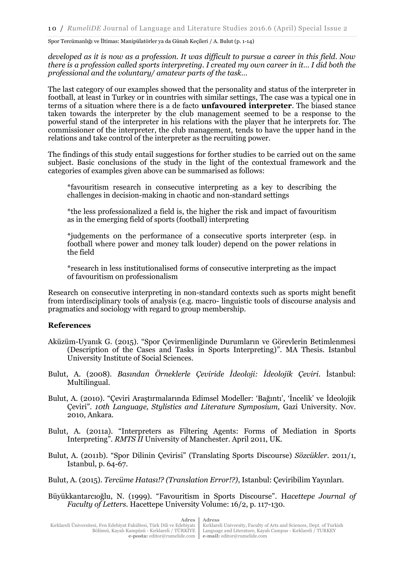*developed as it is now as a profession. It was difficult to pursue a career in this field. Now there is a profession called sports interpreting. I created my own career in it… I did both the professional and the voluntary/ amateur parts of the task…*

The last category of our examples showed that the personality and status of the interpreter in football, at least in Turkey or in countries with similar settings, The case was a typical one in terms of a situation where there is a de facto **unfavoured interpreter**. The biased stance taken towards the interpreter by the club management seemed to be a response to the powerful stand of the interpreter in his relations with the player that he interprets for. The commissioner of the interpreter, the club management, tends to have the upper hand in the relations and take control of the interpreter as the recruiting power.

The findings of this study entail suggestions for forther studies to be carried out on the same subject. Basic conclusions of the study in the light of the contextual framework and the categories of examples given above can be summarised as follows:

\*favouritism research in consecutive interpreting as a key to describing the challenges in decision-making in chaotic and non-standard settings

\*the less professionalized a field is, the higher the risk and impact of favouritism as in the emerging field of sports (football) interpreting

\*judgements on the performance of a consecutive sports interpreter (esp. in football where power and money talk louder) depend on the power relations in the field

\*research in less institutionalised forms of consecutive interpreting as the impact of favouritism on professionalism

Research on consecutive interpreting in non-standard contexts such as sports might benefit from interdisciplinary tools of analysis (e.g. macro- linguistic tools of discourse analysis and pragmatics and sociology with regard to group membership.

## **References**

- Aküzüm-Uyanık G. (2015). "Spor Çevirmenliğinde Durumların ve Görevlerin Betimlenmesi (Description of the Cases and Tasks in Sports Interpreting)". MA Thesis. Istanbul University Institute of Social Sciences.
- Bulut, A. (2008). *Basından Örneklerle Çeviride İdeoloji: İdeolojik Çeviri*. İstanbul: Multilingual.
- Bulut, A. (2010). "Çeviri Araştırmalarında Edimsel Modeller: 'Bağıntı', 'İncelik' ve İdeolojik Çeviri"*. 10th Language, Stylistics and Literature Symposium,* Gazi University. Nov. 2010, Ankara.
- Bulut, A. (2011a). "Interpreters as Filtering Agents: Forms of Mediation in Sports Interpreting". *RMTS II* University of Manchester. April 2011, UK.
- Bulut, A. (2011b). "Spor Dilinin Çevirisi" (Translating Sports Discourse) *Sözcükler*. 2011/1, Istanbul, p. 64-67.

Bulut, A. (2015). *Tercüme Hatası!? (Translation Error!?)*, Istanbul: Çeviribilim Yayınları.

**Adres**

Büyükkantarcıoğlu, N. (1999). "Favouritism in Sports Discourse". H*acettepe Journal of Faculty of Letters.* Hacettepe University Volume: 16/2, p. 117-130.

**Adress**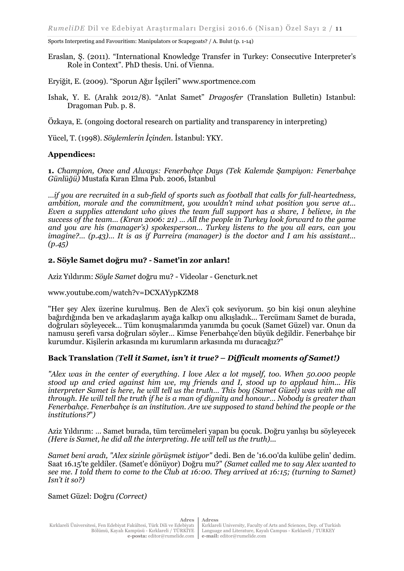Eraslan, Ş. (2011). "International Knowledge Transfer in Turkey: Consecutive Interpreter's Role in Context"*.* PhD thesis. Uni. of Vienna.

Eryiğit, E. (2009). "Sporun Ağır İşçileri" www.sportmence.com

Ishak, Y. E. (Aralık 2012/8). "Anlat Samet" *Dragosfer* (Translation Bulletin) Istanbul: Dragoman Pub. p. 8.

Özkaya, E. (ongoing doctoral research on partiality and transparency in interpreting)

Yücel, T. (1998). *Söylemlerin İçinden.* İstanbul: YKY.

## **Appendices:**

**1.** *Champion, Once and Always: Fenerbahçe Days (Tek Kalemde Şampiyon: Fenerbahçe Günlüğü)* Mustafa Kıran Elma Pub. 2006, İstanbul

*…if you are recruited in a sub-field of sports such as football that calls for full-heartedness, ambition, morale and the commitment, you wouldn't mind what position you serve at... Even a supplies attendant who gives the team full support has a share, I believe, in the success of the team… (Kıran 2006: 21) … All the people in Turkey look forward to the game and you are his (manager's) spokesperson… Turkey listens to the you all ears, can you imagine?… (p.43)… It is as if Parreira (manager) is the doctor and I am his assistant… (p.45)*

## **2. Söyle Samet doğru mu? - Samet'in zor anları[!](http://videolar.gencturk.net/2012/10/aziz-yldrm-soyle-samet-dogru-mu-samet.html)**

Aziz Yıldırım: *Söyle Samet* doğru mu? - Videolar - Gencturk.net

www.youtube.com/watch?v=DCXAYypKZM8

"Her şey Alex üzerine kurulmuş. Ben de Alex'i çok seviyorum. 50 bin kişi onun aleyhine bağırdığında ben ve arkadaşlarım ayağa kalkıp onu alkışladık... Tercümanı Samet de burada, doğruları söyleyecek… Tüm konuşmalarımda yanımda bu çocuk (Samet Güzel) var. Onun da namusu şerefi varsa doğruları söyler… Kimse Fenerbahçe'den büyük değildir. Fenerbahçe bir kurumdur. Kişilerin arkasında mı kurumların arkasında mı duracağız?"

## **Back Translation** *(Tell it Samet, isn't it true? – Difficult moments of Samet!)*

*"Alex was in the center of everything. I love Alex a lot myself, too. When 50.000 people stood up and cried against him we, my friends and I, stood up to applaud him... His interpreter Samet is here, he will tell us the truth… This boy (Samet Güzel) was with me all through. He will tell the truth if he is a man of dignity and honour… Nobody is greater than Fenerbahçe. Fenerbahçe is an institution. Are we supposed to stand behind the people or the institutions?*"*)*

Aziz Yıldırım: … Samet burada, tüm tercümeleri yapan bu çocuk. Doğru yanlışı bu söyleyecek *(Here is Samet, he did all the interpreting. He will tell us the truth)...* 

*Samet beni aradı, "Alex sizinle görüşmek istiyor"* dedi. Ben de '16.00'da kulübe gelin' dedim. Saat 16.15'te geldiler. (Samet'e dönüyor) Doğru mu?" *(Samet called me to say Alex wanted to see me. I told them to come to the Club at 16:00. They arrived at 16:15; (turning to Samet) Isn't it so?)*

Samet Güzel: Doğru *(Correct)*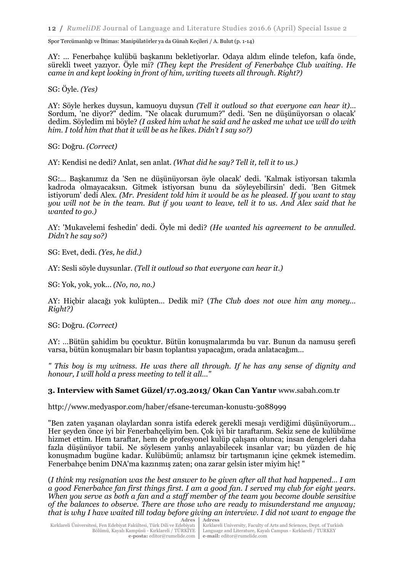AY: … Fenerbahçe kulübü başkanını bekletiyorlar. Odaya aldım elinde telefon, kafa önde, sürekli tweet yazıyor. Öyle mi? *(They kept the President of Fenerbahçe Club waiting. He came in and kept looking in front of him, writing tweets all through. Right?)* 

SG: Öyle. *(Yes)* 

AY: Söyle herkes duysun, kamuoyu duysun *(Tell it outloud so that everyone can hear it)*… Sordum, 'ne diyor?" dedim. "Ne olacak durumum?" dedi. 'Sen ne düşünüyorsan o olacak' dedim. Söyledim mi böyle? *(I asked him what he said and he asked me what we will do with him. I told him that that it will be as he likes. Didn't I say so?)* 

SG: Doğru. *(Correct)*

AY: Kendisi ne dedi? Anlat, sen anlat. *(What did he say? Tell it, tell it to us.)* 

SG:… Başkanımız da 'Sen ne düşünüyorsan öyle olacak' dedi. 'Kalmak istiyorsan takımla kadroda olmayacaksın. Gitmek istiyorsan bunu da söyleyebilirsin' dedi. 'Ben Gitmek istiyorum' dedi Alex*. (Mr. President told him it would be as he pleased. If you want to stay you will not be in the team. But if you want to leave, tell it to us. And Alex said that he wanted to go.)* 

AY: 'Mukavelemi feshedin' dedi. Öyle mi dedi? *(He wanted his agreement to be annulled. Didn't he say so?)*

SG: Evet, dedi. *(Yes, he did.)*

AY: Sesli söyle duysunlar. *(Tell it outloud so that everyone can hear it.)*

SG: Yok, yok, yok... *(No, no, no.)* 

AY: Hiçbir alacağı yok kulüpten… Dedik mi? (*The Club does not owe him any money… Right?)* 

SG: Doğru. *(Correct)*

AY: …Bütün şahidim bu çocuktur. Bütün konuşmalarımda bu var. Bunun da namusu şerefi varsa, bütün konuşmaları bir basın toplantısı yapacağım, orada anlatacağım…

*" This boy is my witness. He was there all through. If he has any sense of dignity and honour, I will hold a press meeting to tell it all…"*

# **3. Interview with Samet Güzel/17.03.2013/ Okan Can Yantır** www.sabah.com.tr

http://www.medyaspor.com/haber/efsane-tercuman-konustu-3088999

"Ben zaten yaşanan olaylardan sonra istifa ederek gerekli mesajı verdiğimi düşünüyorum… Her şeyden önce iyi bir Fenerbahçeliyim ben. Çok iyi bir taraftarım. Sekiz sene de kulübüme hizmet ettim. Hem taraftar, hem de profesyonel kulüp çalışanı olunca; insan dengeleri daha fazla düşünüyor tabii. Ne söylesem yanlış anlayabilecek insanlar var; bu yüzden de hiç konuşmadım bugüne kadar. Kulübümü; anlamsız bir tartışmanın içine çekmek istemedim. Fenerbahçe benim DNA'ma kazınmış zaten; ona zarar gelsin ister miyim hiç! "

**Adres Adress** (*I think my resignation was the best answer to be given after all that had happened… I am a good Fenerbahce fan first things first. I am a good fan. I served my club for eight years. When you serve as both a fan and a staff member of the team you become double sensitive of the balances to observe. There are those who are ready to misunderstand me anyway; that is why I have waited till today before giving an interview. I did not want to engage the*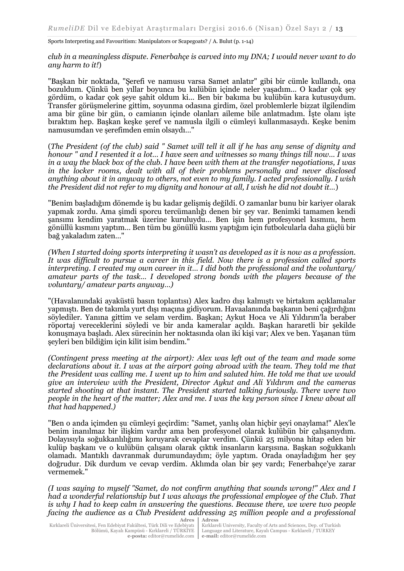*club in a meaningless dispute. Fenerbahçe is carved into my DNA; I would never want to do any harm to it!*)

"Başkan bir noktada, "Şerefi ve namusu varsa Samet anlatır" gibi bir cümle kullandı, ona bozuldum. Çünkü ben yıllar boyunca bu kulübün içinde neler yaşadım... O kadar çok şey gördüm, o kadar çok şeye şahit oldum ki... Ben bir bakıma bu kulübün kara kutusuydum. Transfer görüşmelerine gittim, soyunma odasına girdim, özel problemlerle bizzat ilgilendim ama bir güne bir gün, o camianın içinde olanları aileme bile anlatmadım. İşte olanı işte bıraktım hep. Başkan keşke şeref ve namusla ilgili o cümleyi kullanmasaydı. Keşke benim namusumdan ve şerefimden emin olsaydı…"

(*The President (of the club) said " Samet will tell it all if he has any sense of dignity and honour " and I resented it a lot… I have seen and witnesses so many things till now… I was in a way the black box of the club. I have been with them at the transfer negotiations, I was in the locker rooms, dealt with all of their problems personally and never disclosed anything about it in anyway to others, not even to my family. I acted professionally. I wish the President did not refer to my dignity and honour at all, I wish he did not doubt it…*)

"Benim başladığım dönemde iş bu kadar gelişmiş değildi. O zamanlar bunu bir kariyer olarak yapmak zordu. Ama şimdi sporcu tercümanlığı denen bir şey var. Benimki tamamen kendi şansımı kendim yaratmak üzerine kuruluydu… Ben işin hem profesyonel kısmını, hem gönüllü kısmını yaptım… Ben tüm bu gönüllü kısmı yaptığım için futbolcularla daha güçlü bir bağ yakaladım zaten…"

*(When I started doing sports interpreting it wasn't as developed as it is now as a profession. It was difficult to pursue a career in this field. Now there is a profession called sports interpreting. I created my own career in it… I did both the professional and the voluntary/ amateur parts of the task… I developed strong bonds with the players because of the voluntary/ amateur parts anyway…)*

"(Havalanındaki ayaküstü basın toplantısı) Alex kadro dışı kalmıştı ve birtakım açıklamalar yapmıştı. Ben de takımla yurt dışı maçına gidiyorum. Havaalanında başkanın beni çağırdığını söylediler. Yanına gittim ve selam verdim. Başkan; Aykut Hoca ve Ali Yıldırım'la beraber röportaj vereceklerini söyledi ve bir anda kameralar açıldı. Başkan hararetli bir şekilde konuşmaya başladı. Alex sürecinin her noktasında olan iki kişi var; Alex ve ben. Yaşanan tüm şeyleri ben bildiğim için kilit isim bendim."

*(Contingent press meeting at the airport): Alex was left out of the team and made some declarations about it. I was at the airport going abroad with the team. They told me that the President was calling me. I went up to him and saluted him. He told me that we would give an interview with the President, Director Aykut and Ali Yıldırım and the cameras started shooting at that instant. The President started talking furiously. There were two people in the heart of the matter; Alex and me. I was the key person since I knew about all that had happened.)*

"Ben o anda içimden şu cümleyi geçirdim: "Samet, yanlış olan hiçbir şeyi onaylama!" Alex'le benim inanılmaz bir ilişkim vardır ama ben profesyonel olarak kulübün bir çalışanıydım. Dolayısıyla soğukkanlılığımı koruyarak cevaplar verdim. Çünkü 25 milyona hitap eden bir kulüp başkanı ve o kulübün çalışanı olarak çıktık insanların karşısına. Başkan soğukkanlı olamadı. Mantıklı davranmak durumundaydım; öyle yaptım. Orada onayladığım her şey doğrudur. Dik durdum ve cevap verdim. Aklımda olan bir şey vardı; Fenerbahçe'ye zarar vermemek."

**Adres Adress** *(I was saying to myself "Samet, do not confirm anything that sounds wrong!" Alex and I had a wonderful relationship but I was always the professional employee of the Club. That is why I had to keep calm in answering the questions. Because there, we were two people facing the audience as a Club President addressing 25 million people and a professional*